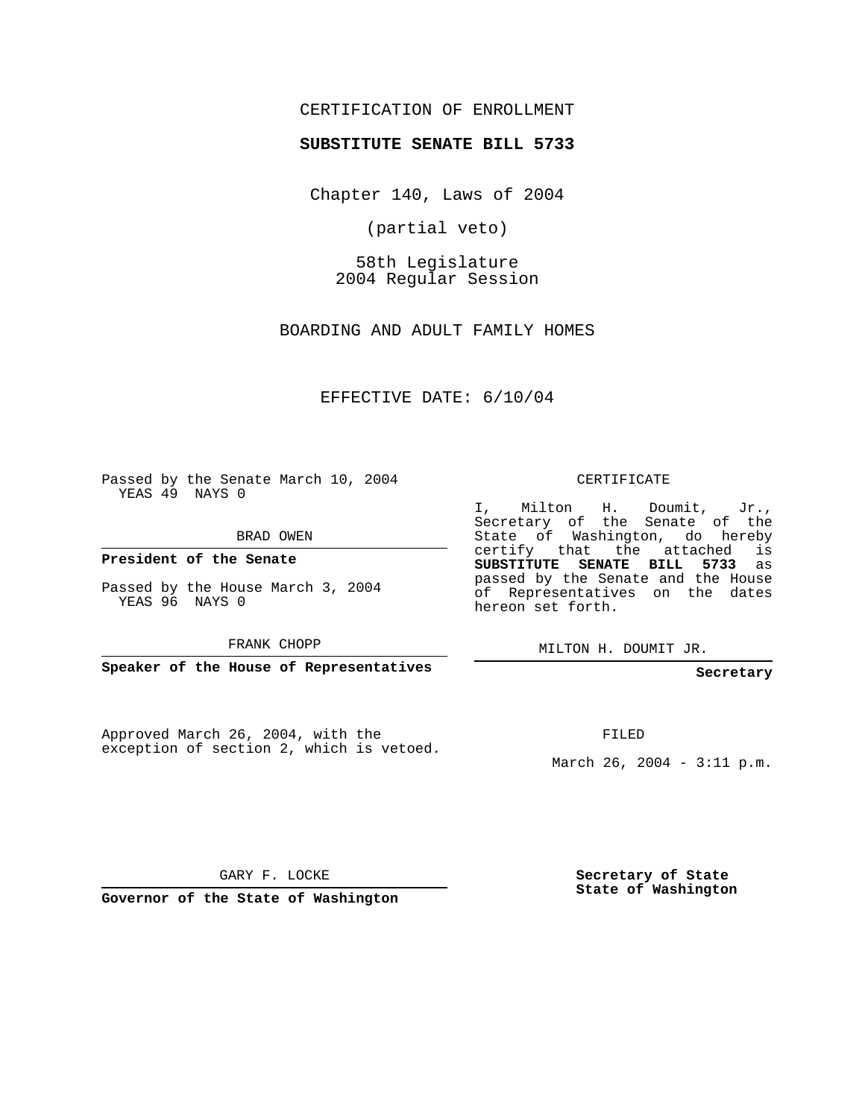## CERTIFICATION OF ENROLLMENT

#### **SUBSTITUTE SENATE BILL 5733**

Chapter 140, Laws of 2004

(partial veto)

58th Legislature 2004 Regular Session

BOARDING AND ADULT FAMILY HOMES

EFFECTIVE DATE: 6/10/04

Passed by the Senate March 10, 2004 YEAS 49 NAYS 0

BRAD OWEN

**President of the Senate**

Passed by the House March 3, 2004 YEAS 96 NAYS 0

FRANK CHOPP

**Speaker of the House of Representatives**

Approved March 26, 2004, with the exception of section 2, which is vetoed.

#### CERTIFICATE

I, Milton H. Doumit, Jr., Secretary of the Senate of the State of Washington, do hereby certify that the attached is **SUBSTITUTE SENATE BILL 5733** as passed by the Senate and the House of Representatives on the dates hereon set forth.

MILTON H. DOUMIT JR.

#### **Secretary**

FILED

March 26, 2004 - 3:11 p.m.

GARY F. LOCKE

**Governor of the State of Washington**

**Secretary of State State of Washington**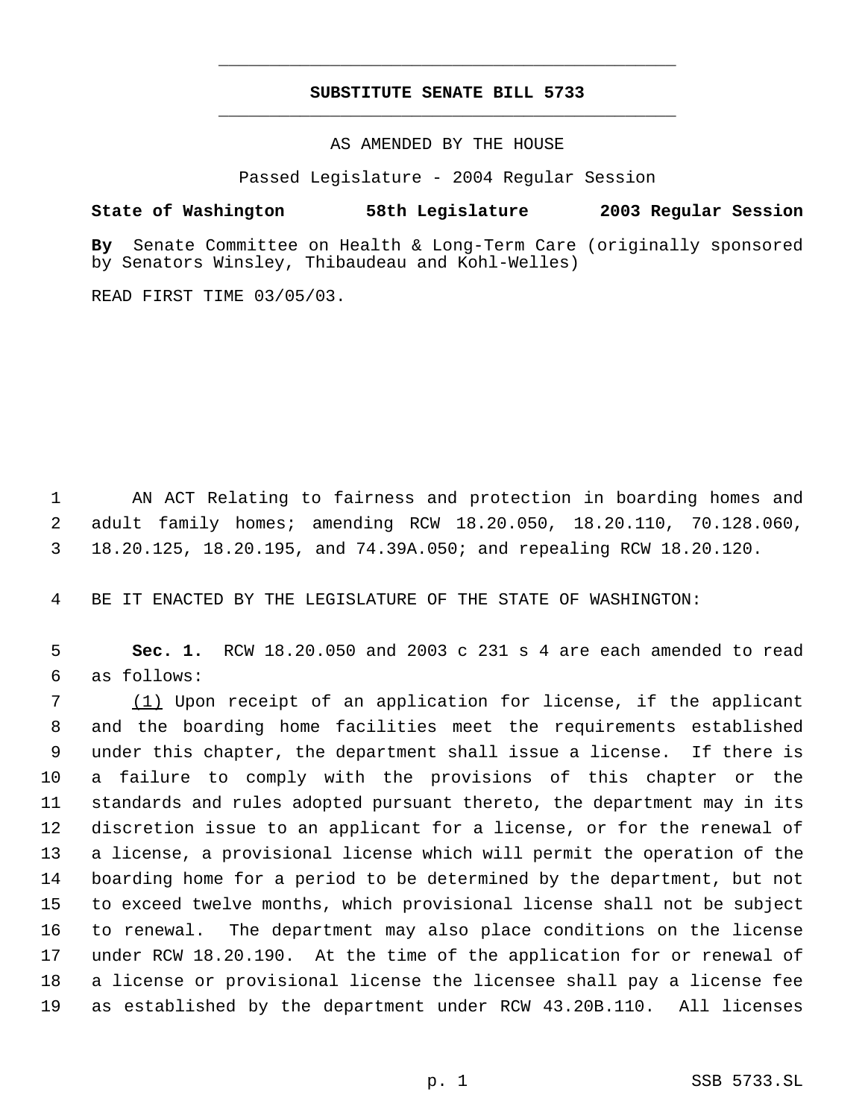# **SUBSTITUTE SENATE BILL 5733** \_\_\_\_\_\_\_\_\_\_\_\_\_\_\_\_\_\_\_\_\_\_\_\_\_\_\_\_\_\_\_\_\_\_\_\_\_\_\_\_\_\_\_\_\_

\_\_\_\_\_\_\_\_\_\_\_\_\_\_\_\_\_\_\_\_\_\_\_\_\_\_\_\_\_\_\_\_\_\_\_\_\_\_\_\_\_\_\_\_\_

AS AMENDED BY THE HOUSE

Passed Legislature - 2004 Regular Session

### **State of Washington 58th Legislature 2003 Regular Session**

**By** Senate Committee on Health & Long-Term Care (originally sponsored by Senators Winsley, Thibaudeau and Kohl-Welles)

READ FIRST TIME 03/05/03.

 AN ACT Relating to fairness and protection in boarding homes and adult family homes; amending RCW 18.20.050, 18.20.110, 70.128.060, 18.20.125, 18.20.195, and 74.39A.050; and repealing RCW 18.20.120.

BE IT ENACTED BY THE LEGISLATURE OF THE STATE OF WASHINGTON:

 **Sec. 1.** RCW 18.20.050 and 2003 c 231 s 4 are each amended to read as follows:

 (1) Upon receipt of an application for license, if the applicant and the boarding home facilities meet the requirements established under this chapter, the department shall issue a license. If there is a failure to comply with the provisions of this chapter or the standards and rules adopted pursuant thereto, the department may in its discretion issue to an applicant for a license, or for the renewal of a license, a provisional license which will permit the operation of the boarding home for a period to be determined by the department, but not to exceed twelve months, which provisional license shall not be subject to renewal. The department may also place conditions on the license under RCW 18.20.190. At the time of the application for or renewal of a license or provisional license the licensee shall pay a license fee as established by the department under RCW 43.20B.110. All licenses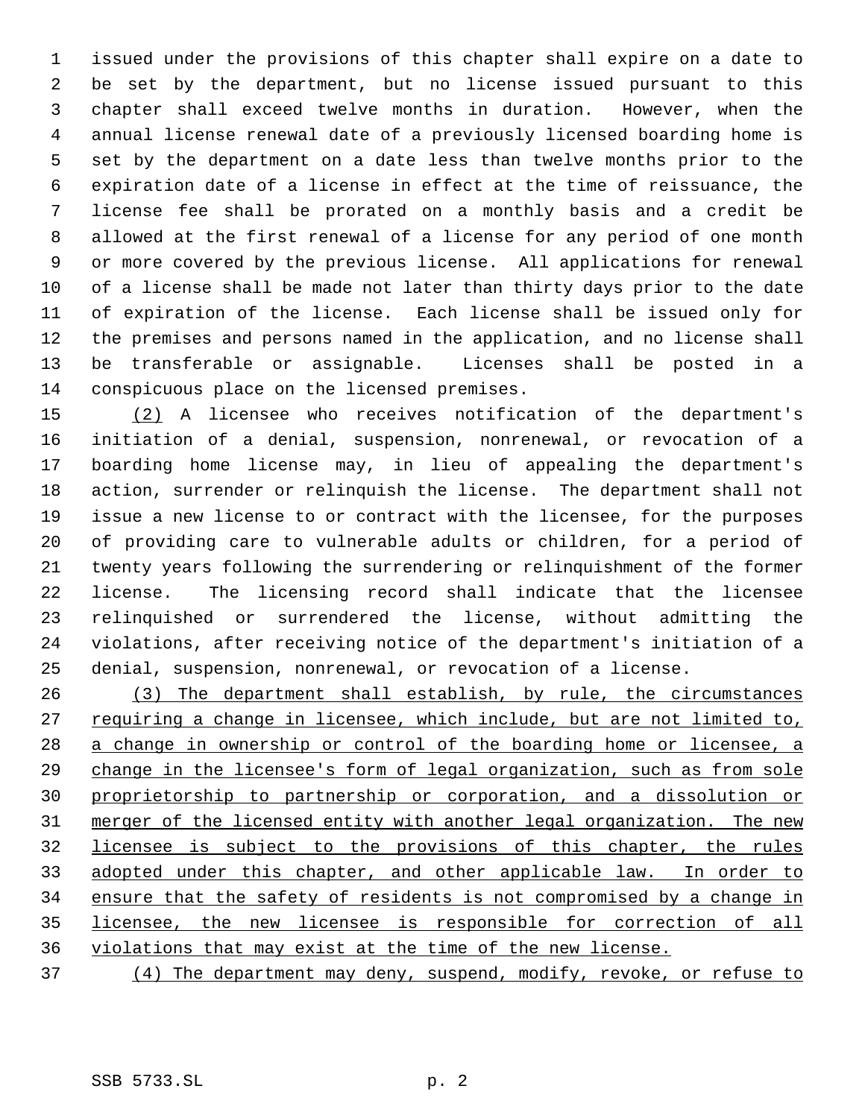issued under the provisions of this chapter shall expire on a date to be set by the department, but no license issued pursuant to this chapter shall exceed twelve months in duration. However, when the annual license renewal date of a previously licensed boarding home is set by the department on a date less than twelve months prior to the expiration date of a license in effect at the time of reissuance, the license fee shall be prorated on a monthly basis and a credit be allowed at the first renewal of a license for any period of one month or more covered by the previous license. All applications for renewal of a license shall be made not later than thirty days prior to the date of expiration of the license. Each license shall be issued only for the premises and persons named in the application, and no license shall be transferable or assignable. Licenses shall be posted in a conspicuous place on the licensed premises.

 (2) A licensee who receives notification of the department's initiation of a denial, suspension, nonrenewal, or revocation of a boarding home license may, in lieu of appealing the department's action, surrender or relinquish the license. The department shall not issue a new license to or contract with the licensee, for the purposes of providing care to vulnerable adults or children, for a period of twenty years following the surrendering or relinquishment of the former license. The licensing record shall indicate that the licensee relinquished or surrendered the license, without admitting the violations, after receiving notice of the department's initiation of a denial, suspension, nonrenewal, or revocation of a license.

 (3) The department shall establish, by rule, the circumstances 27 requiring a change in licensee, which include, but are not limited to, a change in ownership or control of the boarding home or licensee, a change in the licensee's form of legal organization, such as from sole proprietorship to partnership or corporation, and a dissolution or merger of the licensed entity with another legal organization. The new licensee is subject to the provisions of this chapter, the rules 33 adopted under this chapter, and other applicable law. In order to ensure that the safety of residents is not compromised by a change in licensee, the new licensee is responsible for correction of all violations that may exist at the time of the new license.

(4) The department may deny, suspend, modify, revoke, or refuse to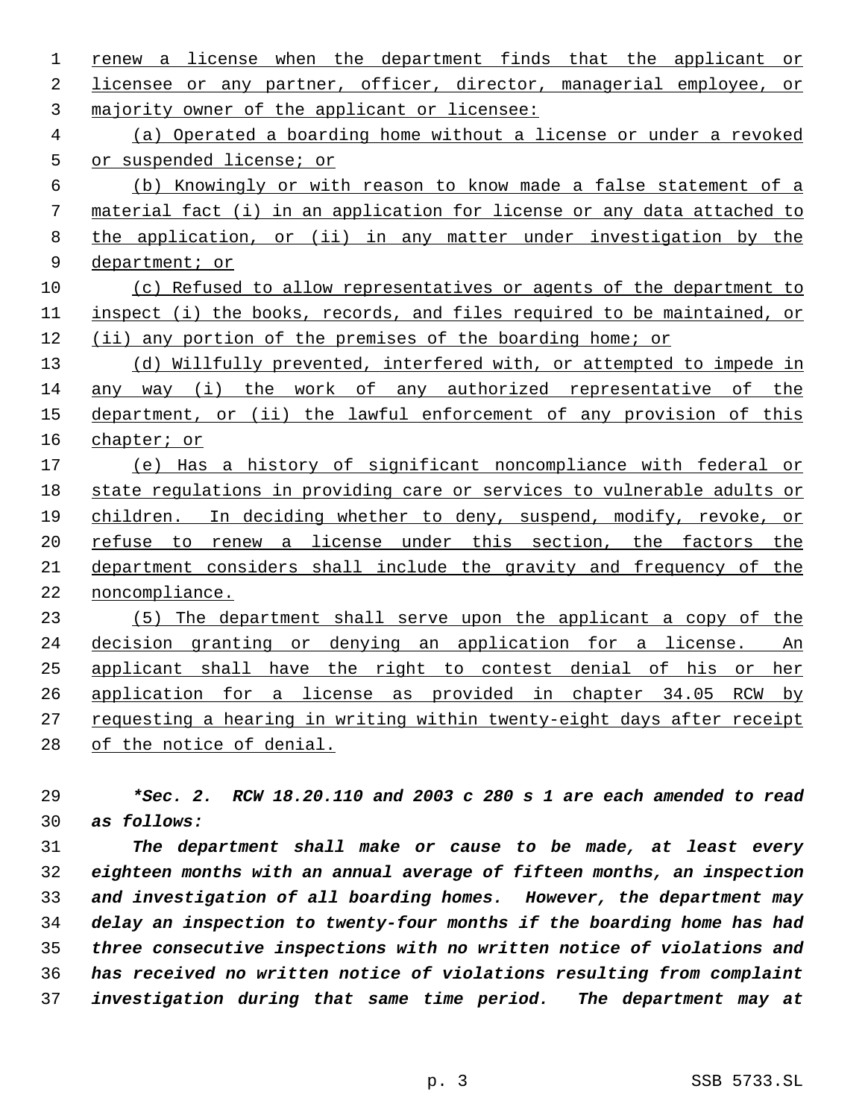1 renew a license when the department finds that the applicant or licensee or any partner, officer, director, managerial employee, or majority owner of the applicant or licensee: (a) Operated a boarding home without a license or under a revoked or suspended license; or (b) Knowingly or with reason to know made a false statement of a material fact (i) in an application for license or any data attached to the application, or (ii) in any matter under investigation by the department; or (c) Refused to allow representatives or agents of the department to inspect (i) the books, records, and files required to be maintained, or (ii) any portion of the premises of the boarding home; or (d) Willfully prevented, interfered with, or attempted to impede in any way (i) the work of any authorized representative of the 15 department, or (ii) the lawful enforcement of any provision of this chapter; or (e) Has a history of significant noncompliance with federal or state regulations in providing care or services to vulnerable adults or children. In deciding whether to deny, suspend, modify, revoke, or 20 refuse to renew a license under this section, the factors the department considers shall include the gravity and frequency of the noncompliance. (5) The department shall serve upon the applicant a copy of the decision granting or denying an application for a license. An applicant shall have the right to contest denial of his or her application for a license as provided in chapter 34.05 RCW by requesting a hearing in writing within twenty-eight days after receipt of the notice of denial.

 *\*Sec. 2. RCW 18.20.110 and 2003 c 280 s 1 are each amended to read as follows:*

 *The department shall make or cause to be made, at least every eighteen months with an annual average of fifteen months, an inspection and investigation of all boarding homes. However, the department may delay an inspection to twenty-four months if the boarding home has had three consecutive inspections with no written notice of violations and has received no written notice of violations resulting from complaint investigation during that same time period. The department may at*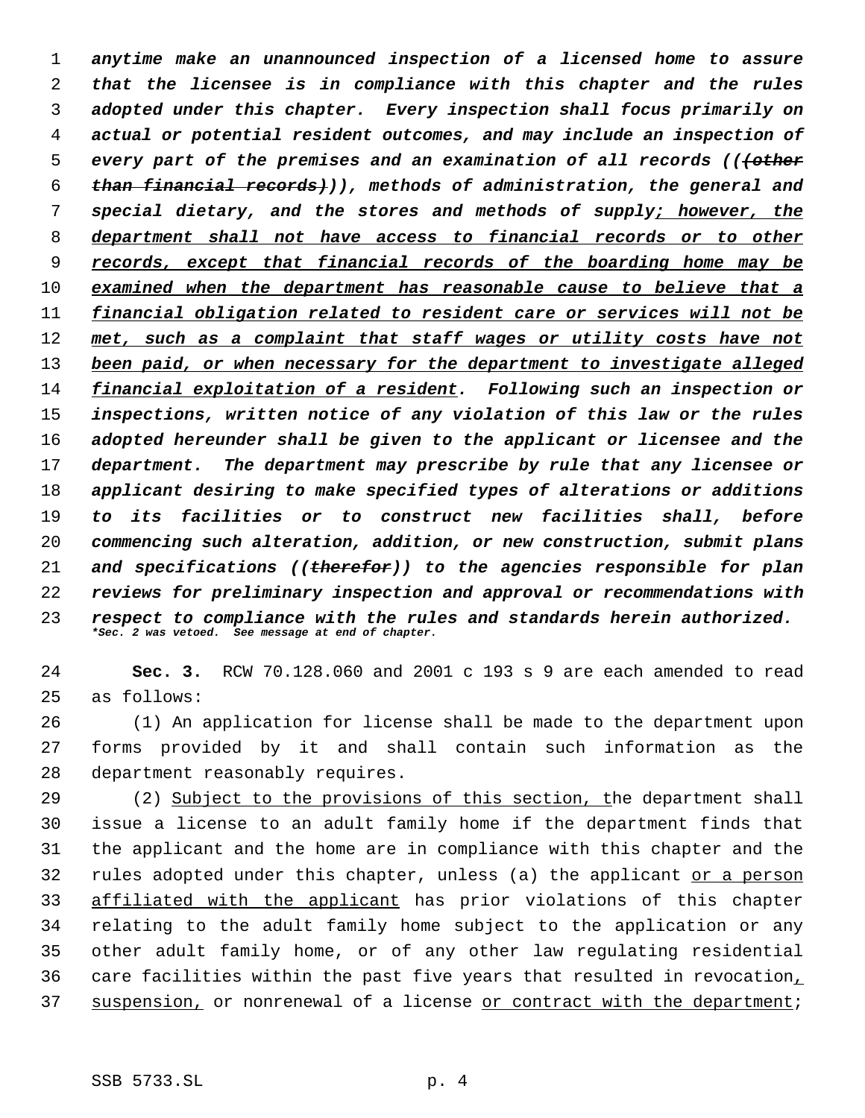*anytime make an unannounced inspection of a licensed home to assure that the licensee is in compliance with this chapter and the rules adopted under this chapter. Every inspection shall focus primarily on actual or potential resident outcomes, and may include an inspection of every part of the premises and an examination of all records (((other than financial records))), methods of administration, the general and special dietary, and the stores and methods of supply; however, the department shall not have access to financial records or to other records, except that financial records of the boarding home may be examined when the department has reasonable cause to believe that a financial obligation related to resident care or services will not be met, such as a complaint that staff wages or utility costs have not been paid, or when necessary for the department to investigate alleged financial exploitation of a resident. Following such an inspection or inspections, written notice of any violation of this law or the rules adopted hereunder shall be given to the applicant or licensee and the department. The department may prescribe by rule that any licensee or applicant desiring to make specified types of alterations or additions to its facilities or to construct new facilities shall, before commencing such alteration, addition, or new construction, submit plans and specifications ((therefor)) to the agencies responsible for plan reviews for preliminary inspection and approval or recommendations with respect to compliance with the rules and standards herein authorized. \*Sec. 2 was vetoed. See message at end of chapter.*

 **Sec. 3.** RCW 70.128.060 and 2001 c 193 s 9 are each amended to read as follows:

 (1) An application for license shall be made to the department upon forms provided by it and shall contain such information as the department reasonably requires.

 (2) Subject to the provisions of this section, the department shall issue a license to an adult family home if the department finds that the applicant and the home are in compliance with this chapter and the rules adopted under this chapter, unless (a) the applicant or a person affiliated with the applicant has prior violations of this chapter relating to the adult family home subject to the application or any other adult family home, or of any other law regulating residential care facilities within the past five years that resulted in revocation, 37 suspension, or nonrenewal of a license or contract with the department;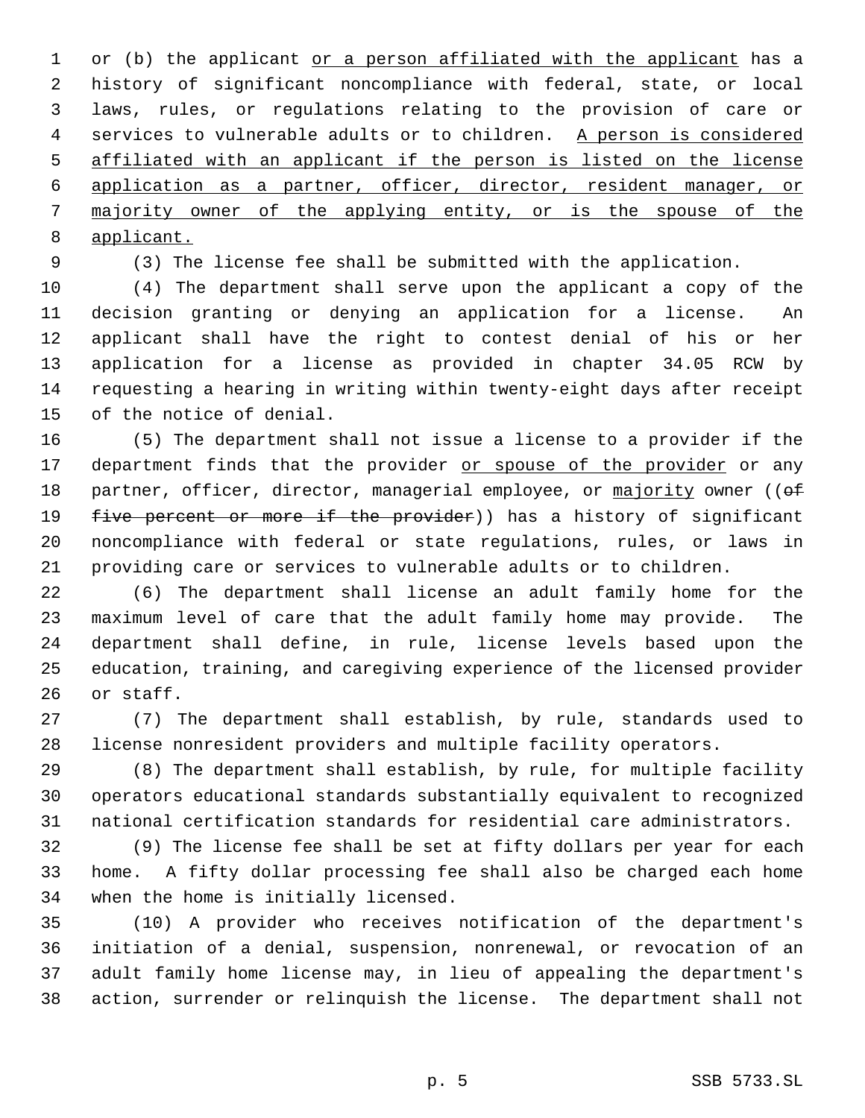1 or (b) the applicant or a person affiliated with the applicant has a history of significant noncompliance with federal, state, or local laws, rules, or regulations relating to the provision of care or 4 services to vulnerable adults or to children. A person is considered affiliated with an applicant if the person is listed on the license application as a partner, officer, director, resident manager, or majority owner of the applying entity, or is the spouse of the applicant.

(3) The license fee shall be submitted with the application.

 (4) The department shall serve upon the applicant a copy of the decision granting or denying an application for a license. An applicant shall have the right to contest denial of his or her application for a license as provided in chapter 34.05 RCW by requesting a hearing in writing within twenty-eight days after receipt of the notice of denial.

 (5) The department shall not issue a license to a provider if the 17 department finds that the provider or spouse of the provider or any 18 partner, officer, director, managerial employee, or majority owner ((of 19 five percent or more if the provider)) has a history of significant noncompliance with federal or state regulations, rules, or laws in providing care or services to vulnerable adults or to children.

 (6) The department shall license an adult family home for the maximum level of care that the adult family home may provide. The department shall define, in rule, license levels based upon the education, training, and caregiving experience of the licensed provider or staff.

 (7) The department shall establish, by rule, standards used to license nonresident providers and multiple facility operators.

 (8) The department shall establish, by rule, for multiple facility operators educational standards substantially equivalent to recognized national certification standards for residential care administrators.

 (9) The license fee shall be set at fifty dollars per year for each home. A fifty dollar processing fee shall also be charged each home when the home is initially licensed.

 (10) A provider who receives notification of the department's initiation of a denial, suspension, nonrenewal, or revocation of an adult family home license may, in lieu of appealing the department's action, surrender or relinquish the license. The department shall not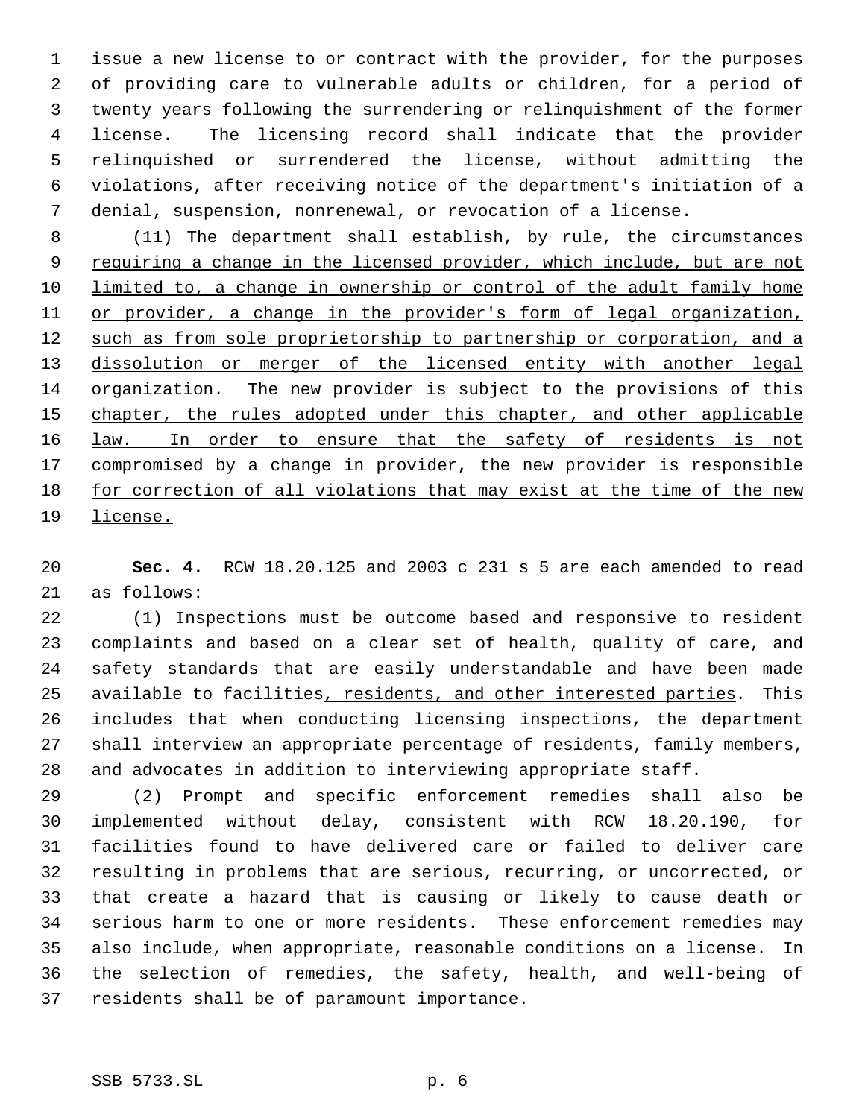issue a new license to or contract with the provider, for the purposes of providing care to vulnerable adults or children, for a period of twenty years following the surrendering or relinquishment of the former license. The licensing record shall indicate that the provider relinquished or surrendered the license, without admitting the violations, after receiving notice of the department's initiation of a denial, suspension, nonrenewal, or revocation of a license.

 (11) The department shall establish, by rule, the circumstances 9 requiring a change in the licensed provider, which include, but are not limited to, a change in ownership or control of the adult family home 11 or provider, a change in the provider's form of legal organization, 12 such as from sole proprietorship to partnership or corporation, and a 13 dissolution or merger of the licensed entity with another legal organization. The new provider is subject to the provisions of this 15 chapter, the rules adopted under this chapter, and other applicable 16 law. In order to ensure that the safety of residents is not 17 compromised by a change in provider, the new provider is responsible for correction of all violations that may exist at the time of the new license.

 **Sec. 4.** RCW 18.20.125 and 2003 c 231 s 5 are each amended to read as follows:

 (1) Inspections must be outcome based and responsive to resident complaints and based on a clear set of health, quality of care, and safety standards that are easily understandable and have been made 25 available to facilities, residents, and other interested parties. This includes that when conducting licensing inspections, the department shall interview an appropriate percentage of residents, family members, and advocates in addition to interviewing appropriate staff.

 (2) Prompt and specific enforcement remedies shall also be implemented without delay, consistent with RCW 18.20.190, for facilities found to have delivered care or failed to deliver care resulting in problems that are serious, recurring, or uncorrected, or that create a hazard that is causing or likely to cause death or serious harm to one or more residents. These enforcement remedies may also include, when appropriate, reasonable conditions on a license. In the selection of remedies, the safety, health, and well-being of residents shall be of paramount importance.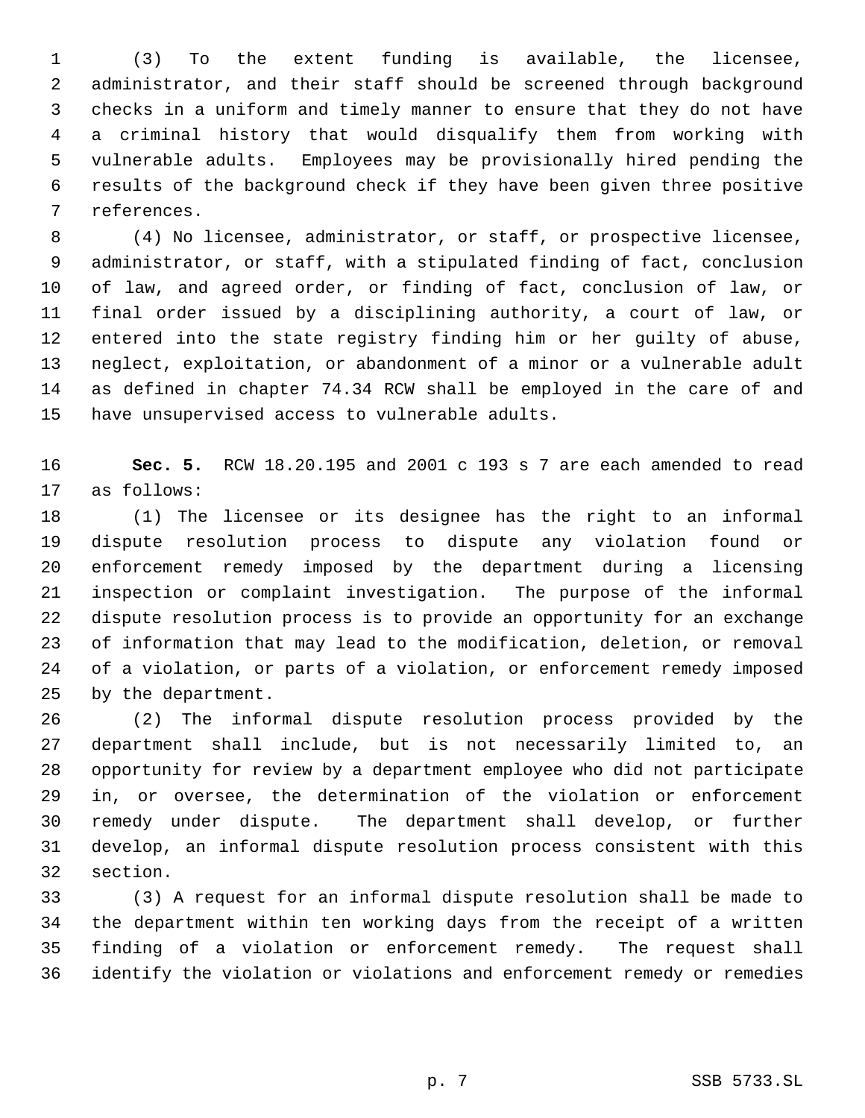(3) To the extent funding is available, the licensee, administrator, and their staff should be screened through background checks in a uniform and timely manner to ensure that they do not have a criminal history that would disqualify them from working with vulnerable adults. Employees may be provisionally hired pending the results of the background check if they have been given three positive references.

 (4) No licensee, administrator, or staff, or prospective licensee, administrator, or staff, with a stipulated finding of fact, conclusion of law, and agreed order, or finding of fact, conclusion of law, or final order issued by a disciplining authority, a court of law, or entered into the state registry finding him or her guilty of abuse, neglect, exploitation, or abandonment of a minor or a vulnerable adult as defined in chapter 74.34 RCW shall be employed in the care of and have unsupervised access to vulnerable adults.

 **Sec. 5.** RCW 18.20.195 and 2001 c 193 s 7 are each amended to read as follows:

 (1) The licensee or its designee has the right to an informal dispute resolution process to dispute any violation found or enforcement remedy imposed by the department during a licensing inspection or complaint investigation. The purpose of the informal dispute resolution process is to provide an opportunity for an exchange of information that may lead to the modification, deletion, or removal of a violation, or parts of a violation, or enforcement remedy imposed by the department.

 (2) The informal dispute resolution process provided by the department shall include, but is not necessarily limited to, an opportunity for review by a department employee who did not participate in, or oversee, the determination of the violation or enforcement remedy under dispute. The department shall develop, or further develop, an informal dispute resolution process consistent with this section.

 (3) A request for an informal dispute resolution shall be made to the department within ten working days from the receipt of a written finding of a violation or enforcement remedy. The request shall identify the violation or violations and enforcement remedy or remedies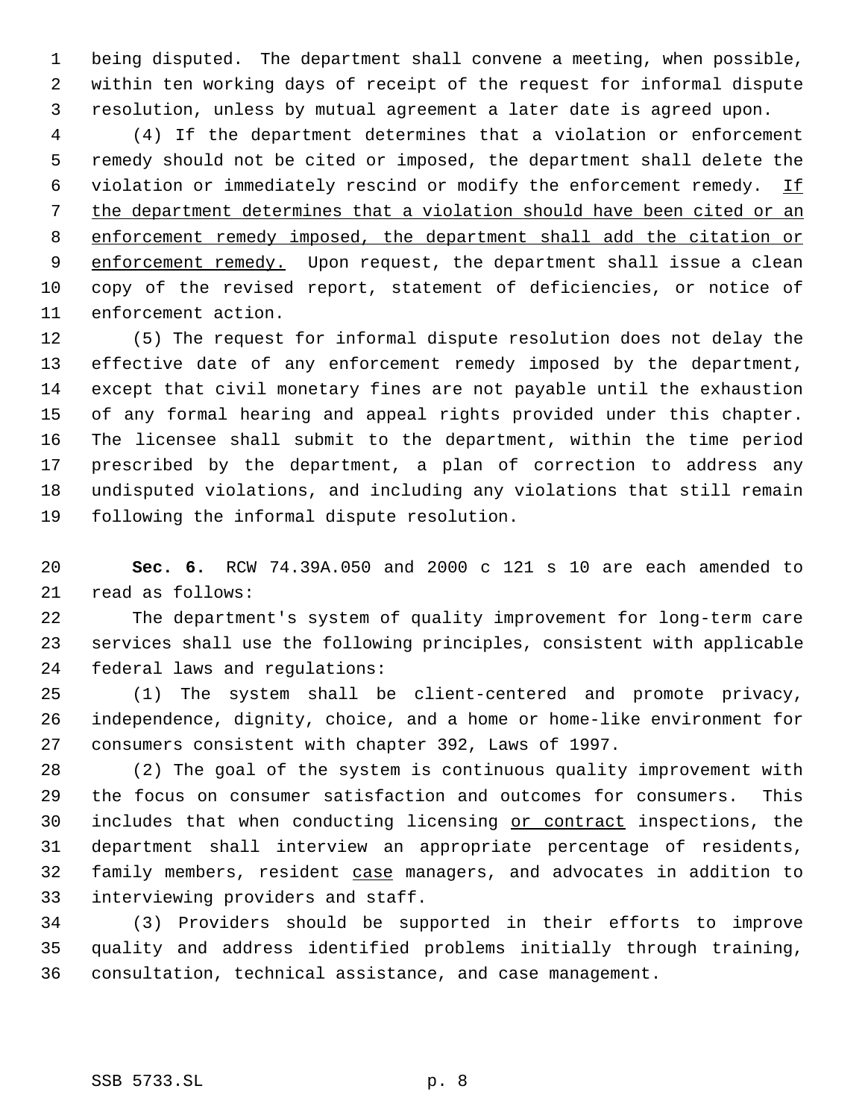being disputed. The department shall convene a meeting, when possible, within ten working days of receipt of the request for informal dispute resolution, unless by mutual agreement a later date is agreed upon.

 (4) If the department determines that a violation or enforcement remedy should not be cited or imposed, the department shall delete the 6 violation or immediately rescind or modify the enforcement remedy. If the department determines that a violation should have been cited or an enforcement remedy imposed, the department shall add the citation or 9 enforcement remedy. Upon request, the department shall issue a clean copy of the revised report, statement of deficiencies, or notice of enforcement action.

 (5) The request for informal dispute resolution does not delay the effective date of any enforcement remedy imposed by the department, except that civil monetary fines are not payable until the exhaustion of any formal hearing and appeal rights provided under this chapter. The licensee shall submit to the department, within the time period prescribed by the department, a plan of correction to address any undisputed violations, and including any violations that still remain following the informal dispute resolution.

 **Sec. 6.** RCW 74.39A.050 and 2000 c 121 s 10 are each amended to read as follows:

 The department's system of quality improvement for long-term care services shall use the following principles, consistent with applicable federal laws and regulations:

 (1) The system shall be client-centered and promote privacy, independence, dignity, choice, and a home or home-like environment for consumers consistent with chapter 392, Laws of 1997.

 (2) The goal of the system is continuous quality improvement with the focus on consumer satisfaction and outcomes for consumers. This 30 includes that when conducting licensing or contract inspections, the department shall interview an appropriate percentage of residents, family members, resident case managers, and advocates in addition to interviewing providers and staff.

 (3) Providers should be supported in their efforts to improve quality and address identified problems initially through training, consultation, technical assistance, and case management.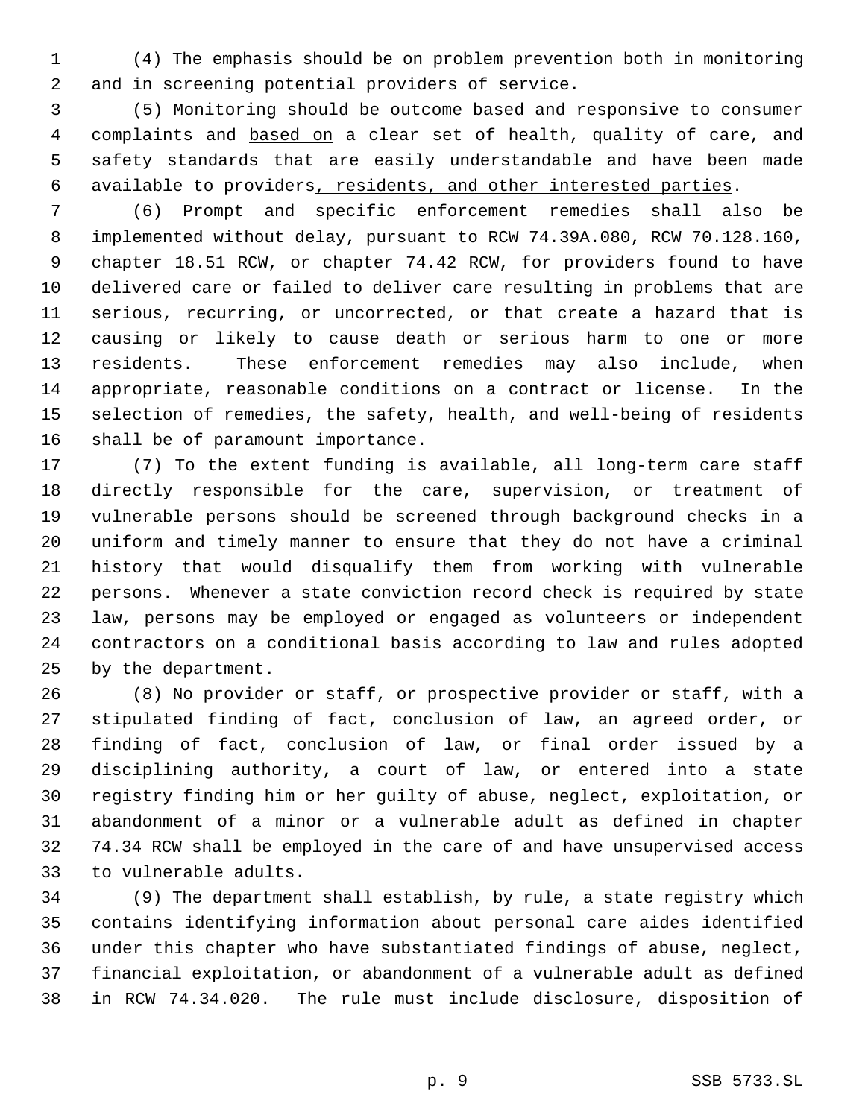(4) The emphasis should be on problem prevention both in monitoring and in screening potential providers of service.

 (5) Monitoring should be outcome based and responsive to consumer 4 complaints and based on a clear set of health, quality of care, and safety standards that are easily understandable and have been made available to providers, residents, and other interested parties.

 (6) Prompt and specific enforcement remedies shall also be implemented without delay, pursuant to RCW 74.39A.080, RCW 70.128.160, chapter 18.51 RCW, or chapter 74.42 RCW, for providers found to have delivered care or failed to deliver care resulting in problems that are serious, recurring, or uncorrected, or that create a hazard that is causing or likely to cause death or serious harm to one or more residents. These enforcement remedies may also include, when appropriate, reasonable conditions on a contract or license. In the selection of remedies, the safety, health, and well-being of residents shall be of paramount importance.

 (7) To the extent funding is available, all long-term care staff directly responsible for the care, supervision, or treatment of vulnerable persons should be screened through background checks in a uniform and timely manner to ensure that they do not have a criminal history that would disqualify them from working with vulnerable persons. Whenever a state conviction record check is required by state law, persons may be employed or engaged as volunteers or independent contractors on a conditional basis according to law and rules adopted by the department.

 (8) No provider or staff, or prospective provider or staff, with a stipulated finding of fact, conclusion of law, an agreed order, or finding of fact, conclusion of law, or final order issued by a disciplining authority, a court of law, or entered into a state registry finding him or her guilty of abuse, neglect, exploitation, or abandonment of a minor or a vulnerable adult as defined in chapter 74.34 RCW shall be employed in the care of and have unsupervised access to vulnerable adults.

 (9) The department shall establish, by rule, a state registry which contains identifying information about personal care aides identified under this chapter who have substantiated findings of abuse, neglect, financial exploitation, or abandonment of a vulnerable adult as defined in RCW 74.34.020. The rule must include disclosure, disposition of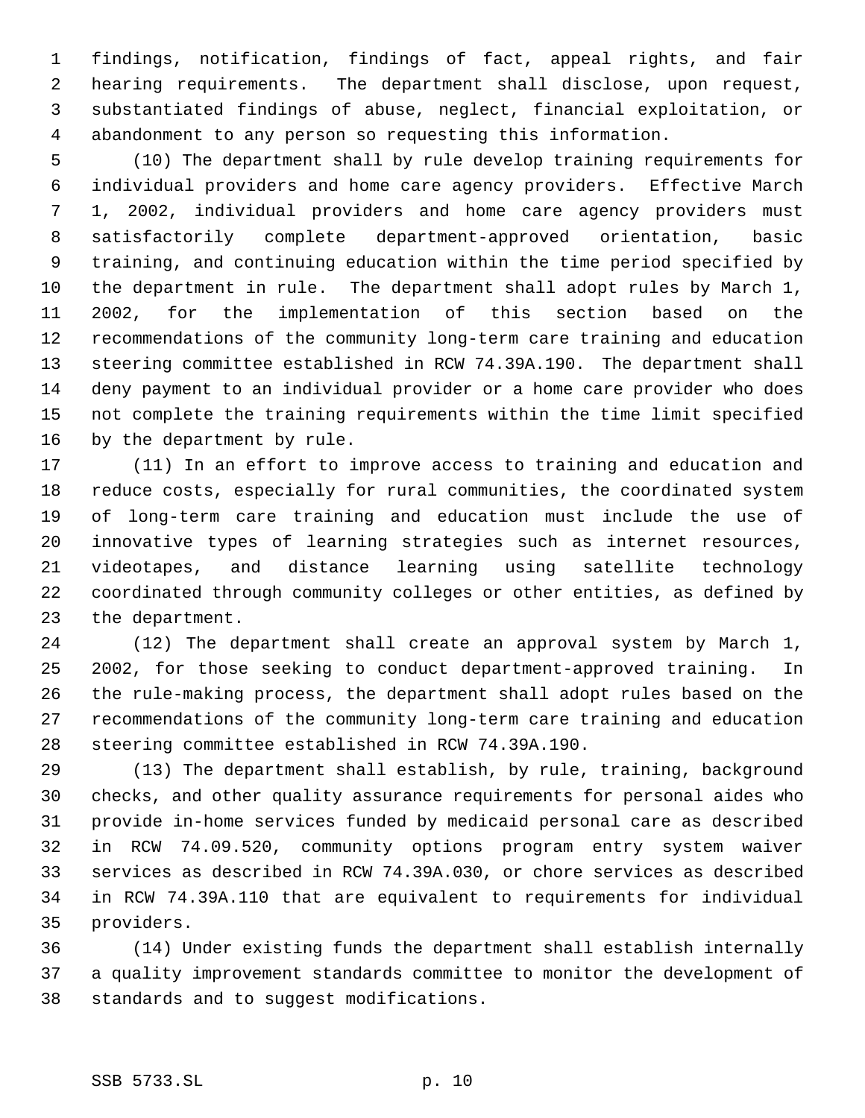findings, notification, findings of fact, appeal rights, and fair hearing requirements. The department shall disclose, upon request, substantiated findings of abuse, neglect, financial exploitation, or abandonment to any person so requesting this information.

 (10) The department shall by rule develop training requirements for individual providers and home care agency providers. Effective March 1, 2002, individual providers and home care agency providers must satisfactorily complete department-approved orientation, basic training, and continuing education within the time period specified by the department in rule. The department shall adopt rules by March 1, 2002, for the implementation of this section based on the recommendations of the community long-term care training and education steering committee established in RCW 74.39A.190. The department shall deny payment to an individual provider or a home care provider who does not complete the training requirements within the time limit specified by the department by rule.

 (11) In an effort to improve access to training and education and reduce costs, especially for rural communities, the coordinated system of long-term care training and education must include the use of innovative types of learning strategies such as internet resources, videotapes, and distance learning using satellite technology coordinated through community colleges or other entities, as defined by the department.

 (12) The department shall create an approval system by March 1, 2002, for those seeking to conduct department-approved training. In the rule-making process, the department shall adopt rules based on the recommendations of the community long-term care training and education steering committee established in RCW 74.39A.190.

 (13) The department shall establish, by rule, training, background checks, and other quality assurance requirements for personal aides who provide in-home services funded by medicaid personal care as described in RCW 74.09.520, community options program entry system waiver services as described in RCW 74.39A.030, or chore services as described in RCW 74.39A.110 that are equivalent to requirements for individual providers.

 (14) Under existing funds the department shall establish internally a quality improvement standards committee to monitor the development of standards and to suggest modifications.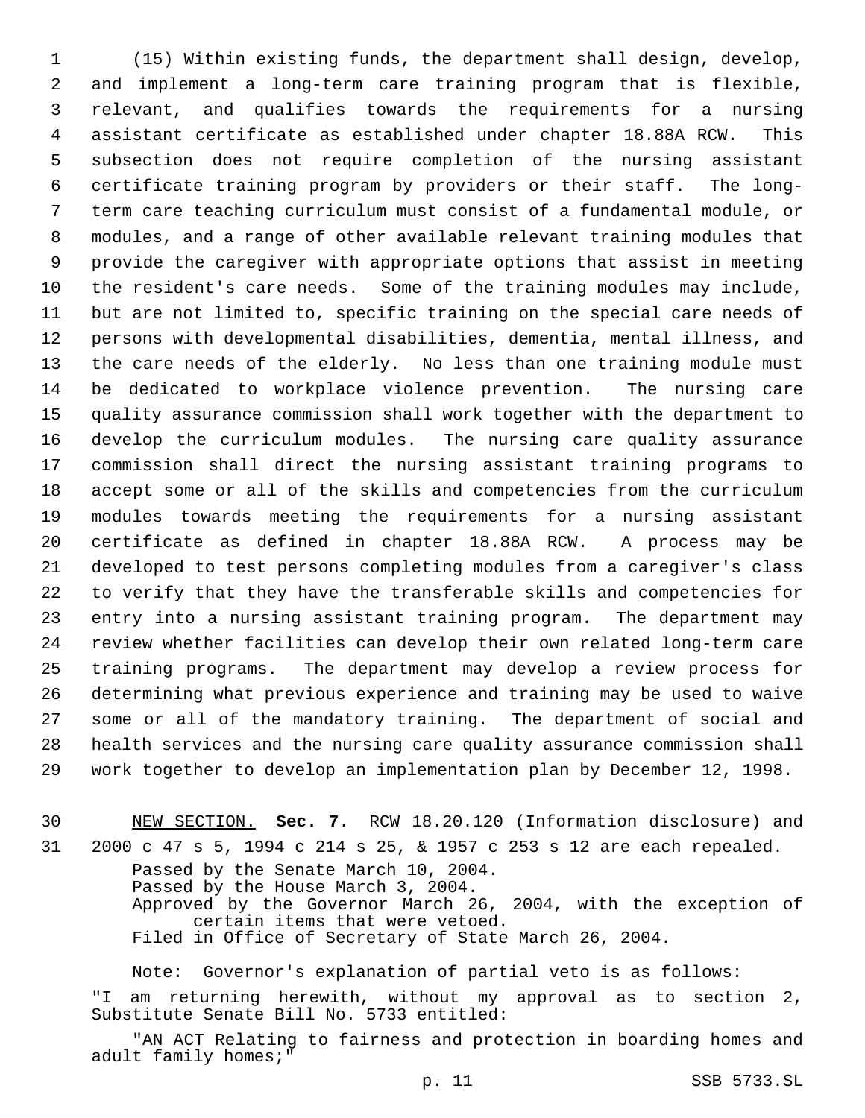(15) Within existing funds, the department shall design, develop, and implement a long-term care training program that is flexible, relevant, and qualifies towards the requirements for a nursing assistant certificate as established under chapter 18.88A RCW. This subsection does not require completion of the nursing assistant certificate training program by providers or their staff. The long- term care teaching curriculum must consist of a fundamental module, or modules, and a range of other available relevant training modules that provide the caregiver with appropriate options that assist in meeting the resident's care needs. Some of the training modules may include, but are not limited to, specific training on the special care needs of persons with developmental disabilities, dementia, mental illness, and the care needs of the elderly. No less than one training module must be dedicated to workplace violence prevention. The nursing care quality assurance commission shall work together with the department to develop the curriculum modules. The nursing care quality assurance commission shall direct the nursing assistant training programs to accept some or all of the skills and competencies from the curriculum modules towards meeting the requirements for a nursing assistant certificate as defined in chapter 18.88A RCW. A process may be developed to test persons completing modules from a caregiver's class to verify that they have the transferable skills and competencies for entry into a nursing assistant training program. The department may review whether facilities can develop their own related long-term care training programs. The department may develop a review process for determining what previous experience and training may be used to waive some or all of the mandatory training. The department of social and health services and the nursing care quality assurance commission shall work together to develop an implementation plan by December 12, 1998.

 NEW SECTION. **Sec. 7.** RCW 18.20.120 (Information disclosure) and 2000 c 47 s 5, 1994 c 214 s 25, & 1957 c 253 s 12 are each repealed.

Passed by the Senate March 10, 2004. Passed by the House March 3, 2004. Approved by the Governor March 26, 2004, with the exception of certain items that were vetoed. Filed in Office of Secretary of State March 26, 2004.

Note: Governor's explanation of partial veto is as follows: "I am returning herewith, without my approval as to section 2, Substitute Senate Bill No. 5733 entitled:

"AN ACT Relating to fairness and protection in boarding homes and adult family homes;"